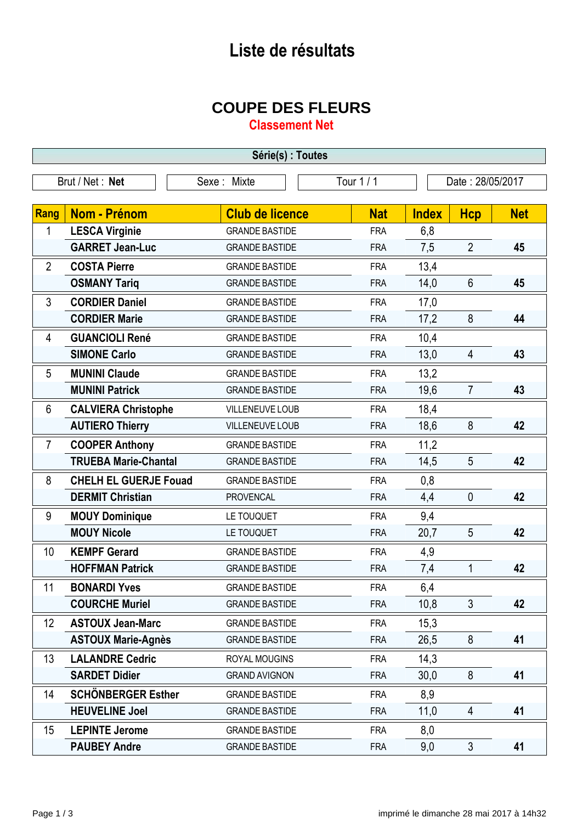## **Liste de résultats**

## **COUPE DES FLEURS**

**Classement Net**

| Série(s) : Toutes              |                              |                        |            |                  |                |            |
|--------------------------------|------------------------------|------------------------|------------|------------------|----------------|------------|
| Brut / Net: Net<br>Sexe: Mixte |                              |                        | Tour 1 / 1 | Date: 28/05/2017 |                |            |
|                                |                              |                        |            |                  |                |            |
| Rang                           | <b>Nom - Prénom</b>          | <b>Club de licence</b> | <b>Nat</b> | <b>Index</b>     | <b>Hcp</b>     | <b>Net</b> |
| 1                              | <b>LESCA Virginie</b>        | <b>GRANDE BASTIDE</b>  | <b>FRA</b> | 6,8              |                |            |
|                                | <b>GARRET Jean-Luc</b>       | <b>GRANDE BASTIDE</b>  | <b>FRA</b> | 7,5              | $\overline{2}$ | 45         |
| $\overline{2}$                 | <b>COSTA Pierre</b>          | <b>GRANDE BASTIDE</b>  | <b>FRA</b> | 13,4             |                |            |
|                                | <b>OSMANY Tariq</b>          | <b>GRANDE BASTIDE</b>  | <b>FRA</b> | 14,0             | $6\phantom{1}$ | 45         |
| 3                              | <b>CORDIER Daniel</b>        | <b>GRANDE BASTIDE</b>  | <b>FRA</b> | 17,0             |                |            |
|                                | <b>CORDIER Marie</b>         | <b>GRANDE BASTIDE</b>  | <b>FRA</b> | 17,2             | 8              | 44         |
| 4                              | <b>GUANCIOLI René</b>        | <b>GRANDE BASTIDE</b>  | <b>FRA</b> | 10,4             |                |            |
|                                | <b>SIMONE Carlo</b>          | <b>GRANDE BASTIDE</b>  | <b>FRA</b> | 13,0             | 4              | 43         |
| 5                              | <b>MUNINI Claude</b>         | <b>GRANDE BASTIDE</b>  | <b>FRA</b> | 13,2             |                |            |
|                                | <b>MUNINI Patrick</b>        | <b>GRANDE BASTIDE</b>  | <b>FRA</b> | 19,6             | $\overline{7}$ | 43         |
| 6                              | <b>CALVIERA Christophe</b>   | VILLENEUVE LOUB        | <b>FRA</b> | 18,4             |                |            |
|                                | <b>AUTIERO Thierry</b>       | VILLENEUVE LOUB        | <b>FRA</b> | 18,6             | 8              | 42         |
| $\overline{7}$                 | <b>COOPER Anthony</b>        | <b>GRANDE BASTIDE</b>  | <b>FRA</b> | 11,2             |                |            |
|                                | <b>TRUEBA Marie-Chantal</b>  | <b>GRANDE BASTIDE</b>  | <b>FRA</b> | 14,5             | 5              | 42         |
| 8                              | <b>CHELH EL GUERJE Fouad</b> | <b>GRANDE BASTIDE</b>  | <b>FRA</b> | 0,8              |                |            |
|                                | <b>DERMIT Christian</b>      | <b>PROVENCAL</b>       | <b>FRA</b> | 4,4              | $\mathbf 0$    | 42         |
| 9                              | <b>MOUY Dominique</b>        | LE TOUQUET             | <b>FRA</b> | 9,4              |                |            |
|                                | <b>MOUY Nicole</b>           | LE TOUQUET             | <b>FRA</b> | 20,7             | 5              | 42         |
| 10                             | <b>KEMPF Gerard</b>          | <b>GRANDE BASTIDE</b>  | <b>FRA</b> | 4,9              |                |            |
|                                | <b>HOFFMAN Patrick</b>       | <b>GRANDE BASTIDE</b>  | <b>FRA</b> | 7,4              | $\mathbf{1}$   | 42         |
| 11                             | <b>BONARDI Yves</b>          | <b>GRANDE BASTIDE</b>  | <b>FRA</b> | 6,4              |                |            |
|                                | <b>COURCHE Muriel</b>        | <b>GRANDE BASTIDE</b>  | <b>FRA</b> | 10,8             | $\mathfrak{Z}$ | 42         |
| 12 <sup>°</sup>                | <b>ASTOUX Jean-Marc</b>      | <b>GRANDE BASTIDE</b>  | <b>FRA</b> | 15,3             |                |            |
|                                | <b>ASTOUX Marie-Agnès</b>    | <b>GRANDE BASTIDE</b>  | <b>FRA</b> | 26,5             | 8              | 41         |
| 13                             | <b>LALANDRE Cedric</b>       | ROYAL MOUGINS          | <b>FRA</b> | 14,3             |                |            |
|                                | <b>SARDET Didier</b>         | <b>GRAND AVIGNON</b>   | <b>FRA</b> | 30,0             | 8              | 41         |
| 14                             | <b>SCHÖNBERGER Esther</b>    | <b>GRANDE BASTIDE</b>  | <b>FRA</b> | 8,9              |                |            |
|                                | <b>HEUVELINE Joel</b>        | <b>GRANDE BASTIDE</b>  | <b>FRA</b> | 11,0             | 4              | 41         |
| 15 <sub>2</sub>                | <b>LEPINTE Jerome</b>        | <b>GRANDE BASTIDE</b>  | <b>FRA</b> | 8,0              |                |            |
|                                | <b>PAUBEY Andre</b>          | <b>GRANDE BASTIDE</b>  | <b>FRA</b> | 9,0              | 3              | 41         |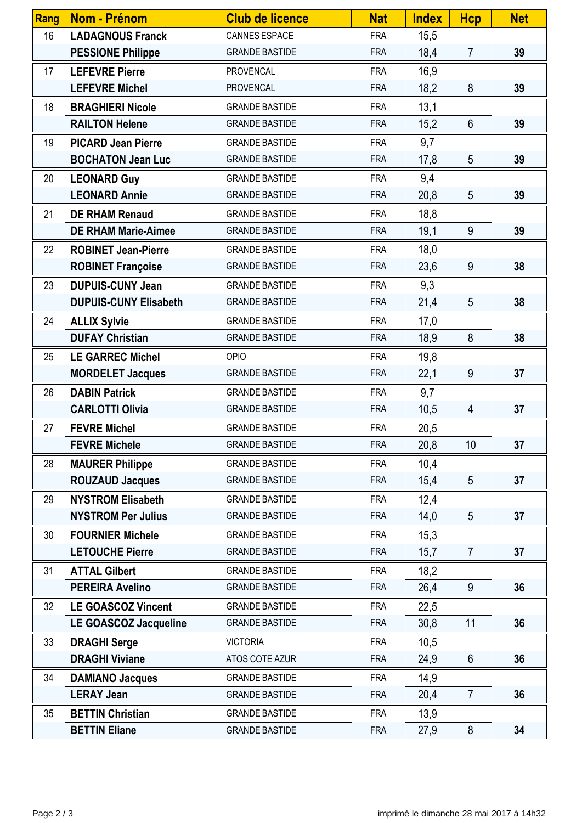| Rang | <b>Nom - Prénom</b>          | <b>Club de licence</b> | <b>Nat</b> | <b>Index</b> | <b>Hcp</b>      | <b>Net</b> |
|------|------------------------------|------------------------|------------|--------------|-----------------|------------|
| 16   | <b>LADAGNOUS Franck</b>      | CANNES ESPACE          | <b>FRA</b> | 15,5         |                 |            |
|      | <b>PESSIONE Philippe</b>     | <b>GRANDE BASTIDE</b>  | <b>FRA</b> | 18,4         | $\overline{7}$  | 39         |
| 17   | <b>LEFEVRE Pierre</b>        | <b>PROVENCAL</b>       | <b>FRA</b> | 16,9         |                 |            |
|      | <b>LEFEVRE Michel</b>        | <b>PROVENCAL</b>       | <b>FRA</b> | 18,2         | 8               | 39         |
| 18   | <b>BRAGHIERI Nicole</b>      | <b>GRANDE BASTIDE</b>  | <b>FRA</b> | 13,1         |                 |            |
|      | <b>RAILTON Helene</b>        | <b>GRANDE BASTIDE</b>  | <b>FRA</b> | 15,2         | $6\phantom{1}$  | 39         |
| 19   | <b>PICARD Jean Pierre</b>    | <b>GRANDE BASTIDE</b>  | <b>FRA</b> | 9,7          |                 |            |
|      | <b>BOCHATON Jean Luc</b>     | <b>GRANDE BASTIDE</b>  | <b>FRA</b> | 17,8         | 5               | 39         |
| 20   | <b>LEONARD Guy</b>           | <b>GRANDE BASTIDE</b>  | <b>FRA</b> | 9,4          |                 |            |
|      | <b>LEONARD Annie</b>         | <b>GRANDE BASTIDE</b>  | <b>FRA</b> | 20,8         | 5               | 39         |
| 21   | <b>DE RHAM Renaud</b>        | <b>GRANDE BASTIDE</b>  | <b>FRA</b> | 18,8         |                 |            |
|      | <b>DE RHAM Marie-Aimee</b>   | <b>GRANDE BASTIDE</b>  | <b>FRA</b> | 19,1         | 9               | 39         |
| 22   | <b>ROBINET Jean-Pierre</b>   | <b>GRANDE BASTIDE</b>  | <b>FRA</b> | 18,0         |                 |            |
|      | <b>ROBINET Françoise</b>     | <b>GRANDE BASTIDE</b>  | <b>FRA</b> | 23,6         | 9               | 38         |
| 23   | <b>DUPUIS-CUNY Jean</b>      | <b>GRANDE BASTIDE</b>  | <b>FRA</b> | 9,3          |                 |            |
|      | <b>DUPUIS-CUNY Elisabeth</b> | <b>GRANDE BASTIDE</b>  | <b>FRA</b> | 21,4         | 5               | 38         |
| 24   | <b>ALLIX Sylvie</b>          | <b>GRANDE BASTIDE</b>  | <b>FRA</b> | 17,0         |                 |            |
|      | <b>DUFAY Christian</b>       | <b>GRANDE BASTIDE</b>  | <b>FRA</b> | 18,9         | 8               | 38         |
| 25   | <b>LE GARREC Michel</b>      | OPIO                   | <b>FRA</b> | 19,8         |                 |            |
|      | <b>MORDELET Jacques</b>      | <b>GRANDE BASTIDE</b>  | <b>FRA</b> | 22,1         | 9               | 37         |
| 26   | <b>DABIN Patrick</b>         | <b>GRANDE BASTIDE</b>  | <b>FRA</b> | 9,7          |                 |            |
|      | <b>CARLOTTI Olivia</b>       | <b>GRANDE BASTIDE</b>  | <b>FRA</b> | 10,5         | 4               | 37         |
| 27   | <b>FEVRE Michel</b>          | <b>GRANDE BASTIDE</b>  | <b>FRA</b> | 20,5         |                 |            |
|      | <b>FEVRE Michele</b>         | <b>GRANDE BASTIDE</b>  | <b>FRA</b> | 20,8         | 10 <sup>°</sup> | 37         |
| 28   | <b>MAURER Philippe</b>       | <b>GRANDE BASTIDE</b>  | <b>FRA</b> | 10,4         |                 |            |
|      | <b>ROUZAUD Jacques</b>       | <b>GRANDE BASTIDE</b>  | <b>FRA</b> | 15,4         | 5               | 37         |
| 29   | <b>NYSTROM Elisabeth</b>     | <b>GRANDE BASTIDE</b>  | <b>FRA</b> | 12,4         |                 |            |
|      | <b>NYSTROM Per Julius</b>    | <b>GRANDE BASTIDE</b>  | <b>FRA</b> | 14,0         | 5               | 37         |
| 30   | <b>FOURNIER Michele</b>      | <b>GRANDE BASTIDE</b>  | <b>FRA</b> | 15,3         |                 |            |
|      | <b>LETOUCHE Pierre</b>       | <b>GRANDE BASTIDE</b>  | <b>FRA</b> | 15,7         | $\overline{7}$  | 37         |
| 31   | <b>ATTAL Gilbert</b>         | <b>GRANDE BASTIDE</b>  | <b>FRA</b> | 18,2         |                 |            |
|      | <b>PEREIRA Avelino</b>       | <b>GRANDE BASTIDE</b>  | <b>FRA</b> | 26,4         | 9               | 36         |
| 32   | <b>LE GOASCOZ Vincent</b>    | <b>GRANDE BASTIDE</b>  | <b>FRA</b> | 22,5         |                 |            |
|      | LE GOASCOZ Jacqueline        | <b>GRANDE BASTIDE</b>  | <b>FRA</b> | 30,8         | 11              | 36         |
| 33   | <b>DRAGHI Serge</b>          | <b>VICTORIA</b>        | <b>FRA</b> | 10,5         |                 |            |
|      | <b>DRAGHI Viviane</b>        | ATOS COTE AZUR         | <b>FRA</b> | 24,9         | $6\phantom{1}$  | 36         |
| 34   | <b>DAMIANO Jacques</b>       | <b>GRANDE BASTIDE</b>  | <b>FRA</b> | 14,9         |                 |            |
|      | <b>LERAY Jean</b>            | <b>GRANDE BASTIDE</b>  | <b>FRA</b> | 20,4         | $\overline{7}$  | 36         |
| 35   | <b>BETTIN Christian</b>      | <b>GRANDE BASTIDE</b>  | <b>FRA</b> | 13,9         |                 |            |
|      | <b>BETTIN Eliane</b>         | <b>GRANDE BASTIDE</b>  | <b>FRA</b> | 27,9         | 8               | 34         |